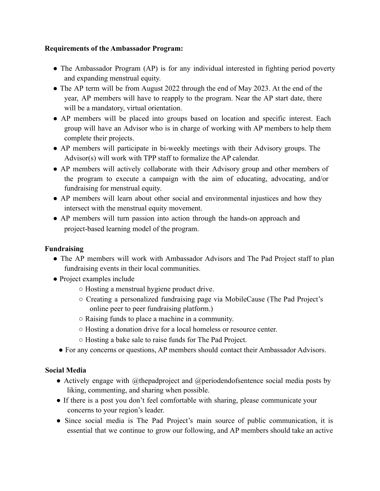### **Requirements of the Ambassador Program:**

- The Ambassador Program (AP) is for any individual interested in fighting period poverty and expanding menstrual equity.
- The AP term will be from August 2022 through the end of May 2023. At the end of the year, AP members will have to reapply to the program. Near the AP start date, there will be a mandatory, virtual orientation.
- AP members will be placed into groups based on location and specific interest. Each group will have an Advisor who is in charge of working with AP members to help them complete their projects.
- AP members will participate in bi-weekly meetings with their Advisory groups. The Advisor(s) will work with TPP staff to formalize the AP calendar.
- AP members will actively collaborate with their Advisory group and other members of the program to execute a campaign with the aim of educating, advocating, and/or fundraising for menstrual equity.
- AP members will learn about other social and environmental injustices and how they intersect with the menstrual equity movement.
- AP members will turn passion into action through the hands-on approach and project-based learning model of the program.

# **Fundraising**

- The AP members will work with Ambassador Advisors and The Pad Project staff to plan fundraising events in their local communities.
- Project examples include
	- Hosting a menstrual hygiene product drive.
	- Creating a personalized fundraising page via MobileCause (The Pad Project's online peer to peer fundraising platform.)
	- Raising funds to place a machine in a community.
	- Hosting a donation drive for a local homeless or resource center.
	- Hosting a bake sale to raise funds for The Pad Project.
	- For any concerns or questions, AP members should contact their Ambassador Advisors.

### **Social Media**

- Actively engage with @thepadproject and @periodendofsentence social media posts by liking, commenting, and sharing when possible.
- If there is a post you don't feel comfortable with sharing, please communicate your concerns to your region's leader.
- Since social media is The Pad Project's main source of public communication, it is essential that we continue to grow our following, and AP members should take an active